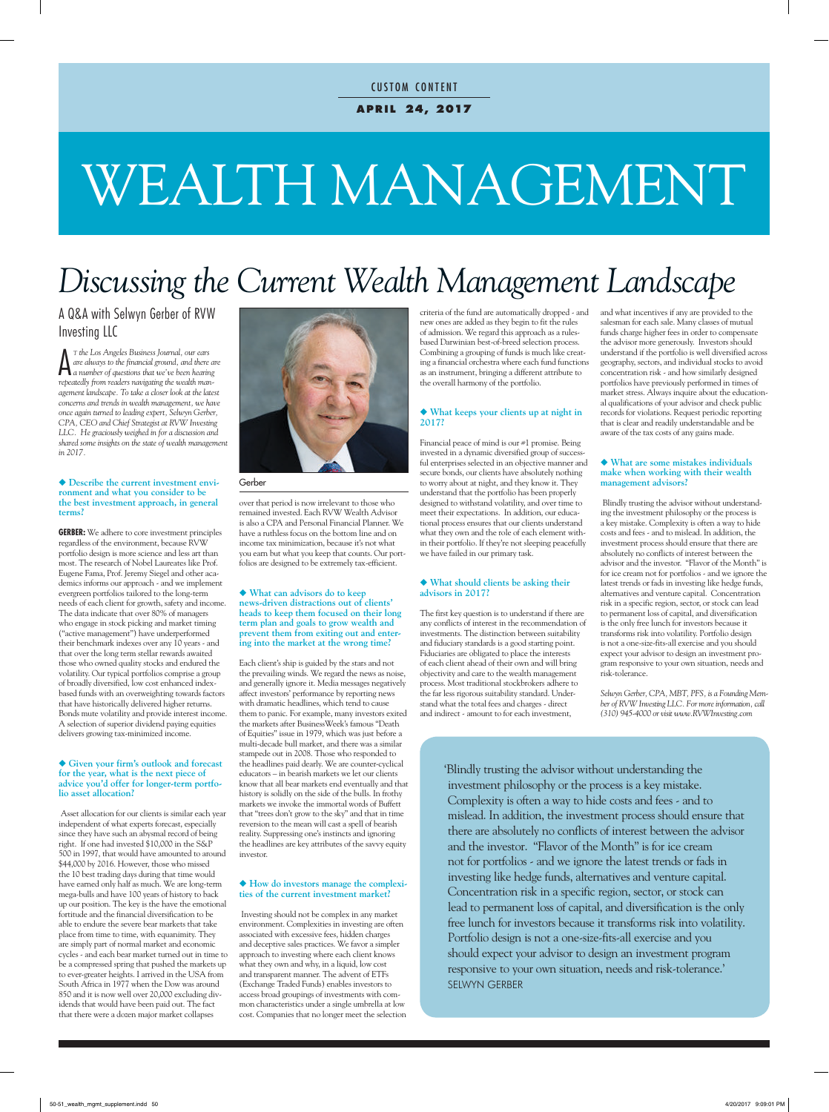### **a p r i l 24, 2017 CUSTOM CONTENT**

# WEALTH MANAGEMENT

# *Discussing the Current Wealth Management Landscape*

#### A Q&A with Selwyn Gerber of RVW Investing LLC

 $\bigwedge^{\text{T}}$  the Los Angeles Business Journal, our ears<br>are always to the financial ground, and there as<br>a number of questions that we've been hearing<br>proposately from machine machine *<sup>t</sup> the Los Angeles Business Journal, our ears are always to the financial ground, and there are repeatedly from readers navigating the wealth management landscape. To take a closer look at the latest concerns and trends in wealth management, we have once again turned to leading expert, Selwyn Gerber, CPA, CEO and Chief Strategist at RVW Investing LLC. He graciously weighed in for a discussion and shared some insights on the state of wealth management in 2017.* 

#### ◆ Describe the current investment envi**ronment and what you consider to be the best investment approach, in general terms?**

**GERBER:** We adhere to core investment principles regardless of the environment, because RVW portfolio design is more science and less art than most. The research of Nobel Laureates like Prof. Eugene Fama, Prof. Jeremy Siegel and other academics informs our approach - and we implement evergreen portfolios tailored to the long-term needs of each client for growth, safety and income. The data indicate that over 80% of managers who engage in stock picking and market timing ("active management") have underperformed their benchmark indexes over any 10 years - and that over the long term stellar rewards awaited those who owned quality stocks and endured the volatility. Our typical portfolios comprise a group of broadly diversified, low cost enhanced indexbased funds with an overweighting towards factors that have historically delivered higher returns. Bonds mute volatility and provide interest income. A selection of superior dividend paying equities delivers growing tax-minimized income.

#### u **Given your firm's outlook and forecast for the year, what is the next piece of advice you'd offer for longer-term portfolio asset allocation?**

Asset allocation for our clients is similar each year independent of what experts forecast, especially since they have such an abysmal record of being right. If one had invested \$10,000 in the S&P 500 in 1997, that would have amounted to around \$44,000 by 2016. However, those who missed the 10 best trading days during that time would have earned only half as much. We are long-term mega-bulls and have 100 years of history to back up our position. The key is the have the emotional fortitude and the financial diversification to be able to endure the severe bear markets that take place from time to time, with equanimity. They are simply part of normal market and economic cycles - and each bear market turned out in time to be a compressed spring that pushed the markets up to ever-greater heights. I arrived in the USA from South Africa in 1977 when the Dow was around 850 and it is now well over 20,000 excluding dividends that would have been paid out. The fact that there were a dozen major market collapses



Gerber

over that period is now irrelevant to those who remained invested. Each RVW Wealth Advisor is also a CPA and Personal Financial Planner. We have a ruthless focus on the bottom line and on income tax minimization, because it's not what you earn but what you keep that counts. Our portfolios are designed to be extremely tax-efficient.

#### ◆ What can advisors do to keep **news-driven distractions out of clients' heads to keep them focused on their long term plan and goals to grow wealth and prevent them from exiting out and entering into the market at the wrong time?**

Each client's ship is guided by the stars and not the prevailing winds. We regard the news as noise, and generally ignore it. Media messages negatively affect investors' performance by reporting news with dramatic headlines, which tend to cause them to panic. For example, many investors exited the markets after BusinessWeek's famous "Death of Equities" issue in 1979, which was just before a multi-decade bull market, and there was a similar stampede out in 2008. Those who responded to the headlines paid dearly. We are counter-cyclical educators – in bearish markets we let our clients know that all bear markets end eventually and that history is solidly on the side of the bulls. In frothy markets we invoke the immortal words of Buffett that "trees don't grow to the sky" and that in time reversion to the mean will cast a spell of bearish reality. Suppressing one's instincts and ignoring the headlines are key attributes of the savvy equity investor.

#### $\blacklozenge$  How do investors manage the complexi**ties of the current investment market?**

Investing should not be complex in any market environment. Complexities in investing are often associated with excessive fees, hidden charges and deceptive sales practices. We favor a simpler approach to investing where each client knows what they own and why, in a liquid, low cost and transparent manner. The advent of ETFs (Exchange Traded Funds) enables investors to access broad groupings of investments with common characteristics under a single umbrella at low cost. Companies that no longer meet the selection criteria of the fund are automatically dropped - and new ones are added as they begin to fit the rules of admission. We regard this approach as a rulesbased Darwinian best-of-breed selection process. Combining a grouping of funds is much like creating a financial orchestra where each fund functions as an instrument, bringing a different attribute to the overall harmony of the portfolio.

#### u **What keeps your clients up at night in 2017?**

Financial peace of mind is our #1 promise. Being invested in a dynamic diversified group of successful enterprises selected in an objective manner and secure bonds, our clients have absolutely nothing to worry about at night, and they know it. They understand that the portfolio has been properly designed to withstand volatility, and over time to meet their expectations. In addition, our educational process ensures that our clients understand what they own and the role of each element within their portfolio. If they're not sleeping peacefully we have failed in our primary task.

#### u **What should clients be asking their advisors in 2017?**

The first key question is to understand if there are any conflicts of interest in the recommendation of investments. The distinction between suitability and fiduciary standards is a good starting point. Fiduciaries are obligated to place the interests of each client ahead of their own and will bring objectivity and care to the wealth management process. Most traditional stockbrokers adhere to the far less rigorous suitability standard. Understand what the total fees and charges - direct and indirect - amount to for each investment,

and what incentives if any are provided to the salesman for each sale. Many classes of mutual funds charge higher fees in order to compensate the advisor more generously. Investors should understand if the portfolio is well diversified across geography, sectors, and individual stocks to avoid concentration risk - and how similarly designed portfolios have previously performed in times of market stress. Always inquire about the educational qualifications of your advisor and check public records for violations. Request periodic reporting that is clear and readily understandable and be aware of the tax costs of any gains made.

#### u **What are some mistakes individuals make when working with their wealth management advisors?**

Blindly trusting the advisor without understanding the investment philosophy or the process is a key mistake. Complexity is often a way to hide costs and fees - and to mislead. In addition, the investment process should ensure that there are absolutely no conflicts of interest between the advisor and the investor. "Flavor of the Month" is for ice cream not for portfolios - and we ignore the latest trends or fads in investing like hedge funds, alternatives and venture capital. Concentration risk in a specific region, sector, or stock can lead to permanent loss of capital, and diversification is the only free lunch for investors because it transforms risk into volatility. Portfolio design is not a one-size-fits-all exercise and you should expect your advisor to design an investment program responsive to your own situation, needs and risk-tolerance.

*Selwyn Gerber, CPA, MBT, PFS, is a Founding Member of RVW Investing LLC. For more information, call (310) 945-4000 or visit www.RVWInvesting.com*

'Blindly trusting the advisor without understanding the investment philosophy or the process is a key mistake. Complexity is often a way to hide costs and fees - and to mislead. In addition, the investment process should ensure that there are absolutely no conflicts of interest between the advisor and the investor. "Flavor of the Month" is for ice cream not for portfolios - and we ignore the latest trends or fads in investing like hedge funds, alternatives and venture capital. Concentration risk in a specific region, sector, or stock can lead to permanent loss of capital, and diversification is the only free lunch for investors because it transforms risk into volatility. Portfolio design is not a one-size-fits-all exercise and you should expect your advisor to design an investment program responsive to your own situation, needs and risk-tolerance.' SELWYN GERBER